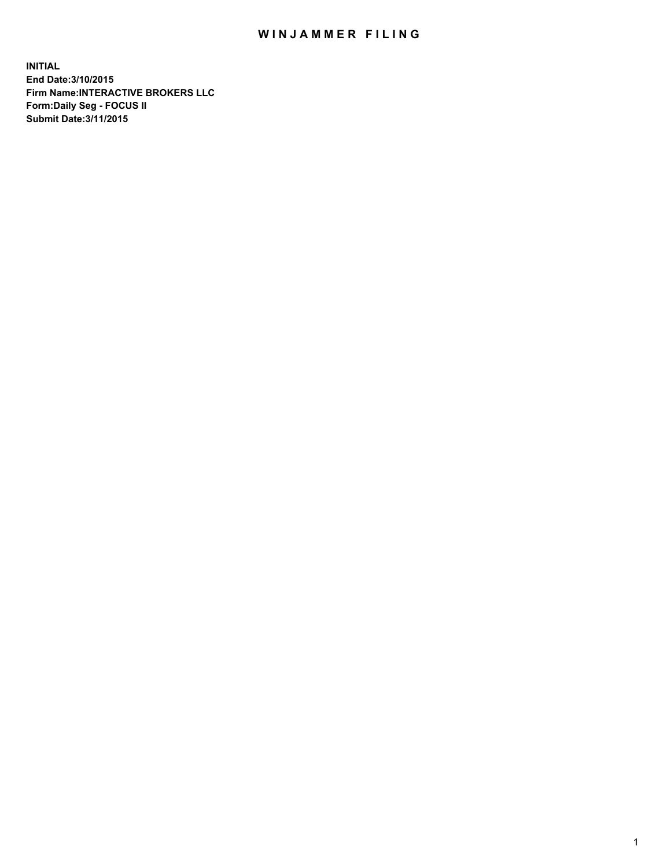## WIN JAMMER FILING

**INITIAL End Date:3/10/2015 Firm Name:INTERACTIVE BROKERS LLC Form:Daily Seg - FOCUS II Submit Date:3/11/2015**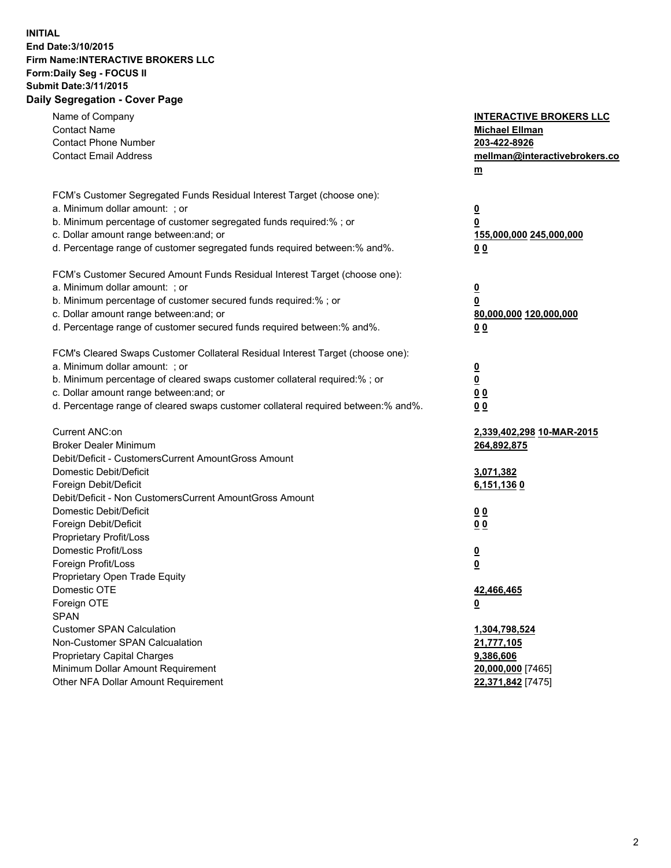## **INITIAL End Date:3/10/2015 Firm Name:INTERACTIVE BROKERS LLC Form:Daily Seg - FOCUS II Submit Date:3/11/2015 Daily Segregation - Cover Page**

| Name of Company<br><b>Contact Name</b>                                            | <b>INTERACTIVE BROKERS LLC</b><br><b>Michael Ellman</b> |
|-----------------------------------------------------------------------------------|---------------------------------------------------------|
| <b>Contact Phone Number</b><br><b>Contact Email Address</b>                       | 203-422-8926<br>mellman@interactivebrokers.co<br>$m$    |
| FCM's Customer Segregated Funds Residual Interest Target (choose one):            |                                                         |
| a. Minimum dollar amount: ; or                                                    | $\overline{\mathbf{0}}$                                 |
| b. Minimum percentage of customer segregated funds required:% ; or                | 0                                                       |
| c. Dollar amount range between: and; or                                           | 155,000,000 245,000,000                                 |
| d. Percentage range of customer segregated funds required between:% and%.         | 0 <sub>0</sub>                                          |
| FCM's Customer Secured Amount Funds Residual Interest Target (choose one):        |                                                         |
| a. Minimum dollar amount: ; or                                                    | $\overline{\mathbf{0}}$                                 |
| b. Minimum percentage of customer secured funds required:% ; or                   | 0                                                       |
| c. Dollar amount range between: and; or                                           | 80,000,000 120,000,000                                  |
| d. Percentage range of customer secured funds required between:% and%.            | 0 <sub>0</sub>                                          |
| FCM's Cleared Swaps Customer Collateral Residual Interest Target (choose one):    |                                                         |
| a. Minimum dollar amount: ; or                                                    | $\overline{\mathbf{0}}$                                 |
| b. Minimum percentage of cleared swaps customer collateral required:% ; or        | $\overline{\mathbf{0}}$                                 |
| c. Dollar amount range between: and; or                                           | 0 <sub>0</sub>                                          |
| d. Percentage range of cleared swaps customer collateral required between:% and%. | 0 <sub>0</sub>                                          |
| Current ANC:on                                                                    | 2,339,402,298 10-MAR-2015                               |
| <b>Broker Dealer Minimum</b>                                                      | 264,892,875                                             |
| Debit/Deficit - CustomersCurrent AmountGross Amount                               |                                                         |
| Domestic Debit/Deficit                                                            | 3,071,382                                               |
| Foreign Debit/Deficit                                                             | 6,151,1360                                              |
| Debit/Deficit - Non CustomersCurrent AmountGross Amount                           |                                                         |
| Domestic Debit/Deficit                                                            | 0 <sub>0</sub>                                          |
| Foreign Debit/Deficit                                                             | 0 <sub>0</sub>                                          |
| Proprietary Profit/Loss                                                           |                                                         |
| Domestic Profit/Loss                                                              | $\overline{\mathbf{0}}$                                 |
| Foreign Profit/Loss                                                               | $\underline{\mathbf{0}}$                                |
| Proprietary Open Trade Equity                                                     |                                                         |
| Domestic OTE                                                                      | 42,466,465                                              |
| Foreign OTE                                                                       | <u>0</u>                                                |
| <b>SPAN</b>                                                                       |                                                         |
| <b>Customer SPAN Calculation</b>                                                  | 1,304,798,524                                           |
| Non-Customer SPAN Calcualation                                                    | 21,777,105                                              |
| Proprietary Capital Charges                                                       | 9,386,606                                               |
| Minimum Dollar Amount Requirement                                                 | 20,000,000 [7465]                                       |
| Other NFA Dollar Amount Requirement                                               | 22,371,842 [7475]                                       |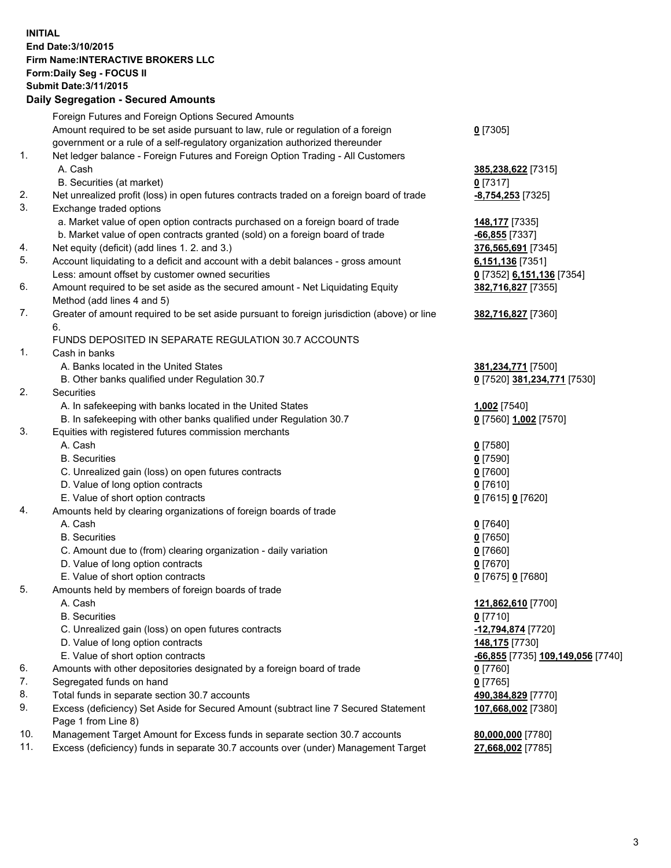## **INITIAL End Date:3/10/2015 Firm Name:INTERACTIVE BROKERS LLC Form:Daily Seg - FOCUS II Submit Date:3/11/2015 Daily Segregation - Secured Amounts**

|     | Daily Ocglegation - Occarea Anioants                                                                       |                                                |
|-----|------------------------------------------------------------------------------------------------------------|------------------------------------------------|
|     | Foreign Futures and Foreign Options Secured Amounts                                                        |                                                |
|     | Amount required to be set aside pursuant to law, rule or regulation of a foreign                           | $0$ [7305]                                     |
|     | government or a rule of a self-regulatory organization authorized thereunder                               |                                                |
| 1.  | Net ledger balance - Foreign Futures and Foreign Option Trading - All Customers                            |                                                |
|     | A. Cash                                                                                                    | 385,238,622 [7315]                             |
|     | B. Securities (at market)                                                                                  | $0$ [7317]                                     |
| 2.  | Net unrealized profit (loss) in open futures contracts traded on a foreign board of trade                  | -8,754,253 [7325]                              |
| 3.  | Exchange traded options                                                                                    |                                                |
|     | a. Market value of open option contracts purchased on a foreign board of trade                             | 148,177 [7335]                                 |
|     | b. Market value of open contracts granted (sold) on a foreign board of trade                               | -66,855 <sup>[7337]</sup>                      |
| 4.  | Net equity (deficit) (add lines 1.2. and 3.)                                                               | 376,565,691 [7345]                             |
| 5.  | Account liquidating to a deficit and account with a debit balances - gross amount                          | 6,151,136 [7351]                               |
|     | Less: amount offset by customer owned securities                                                           | 0 [7352] 6,151,136 [7354]                      |
| 6.  | Amount required to be set aside as the secured amount - Net Liquidating Equity                             | 382,716,827 [7355]                             |
|     | Method (add lines 4 and 5)                                                                                 |                                                |
| 7.  | Greater of amount required to be set aside pursuant to foreign jurisdiction (above) or line                | 382,716,827 [7360]                             |
|     | 6.                                                                                                         |                                                |
|     | FUNDS DEPOSITED IN SEPARATE REGULATION 30.7 ACCOUNTS                                                       |                                                |
| 1.  | Cash in banks                                                                                              |                                                |
|     | A. Banks located in the United States                                                                      | 381,234,771 [7500]                             |
|     | B. Other banks qualified under Regulation 30.7                                                             | 0 [7520] 381,234,771 [7530]                    |
| 2.  | Securities                                                                                                 |                                                |
|     | A. In safekeeping with banks located in the United States                                                  | 1,002 [7540]                                   |
|     | B. In safekeeping with other banks qualified under Regulation 30.7                                         | 0 [7560] 1,002 [7570]                          |
| 3.  | Equities with registered futures commission merchants                                                      |                                                |
|     | A. Cash                                                                                                    | $0$ [7580]                                     |
|     | <b>B.</b> Securities                                                                                       | $0$ [7590]                                     |
|     | C. Unrealized gain (loss) on open futures contracts                                                        | $0$ [7600]                                     |
|     | D. Value of long option contracts                                                                          | $0$ [7610]                                     |
|     | E. Value of short option contracts                                                                         | 0 [7615] 0 [7620]                              |
| 4.  | Amounts held by clearing organizations of foreign boards of trade                                          |                                                |
|     | A. Cash                                                                                                    | $0$ [7640]                                     |
|     | <b>B.</b> Securities                                                                                       | $0$ [7650]                                     |
|     | C. Amount due to (from) clearing organization - daily variation                                            | $0$ [7660]                                     |
|     | D. Value of long option contracts                                                                          | $0$ [7670]                                     |
|     | E. Value of short option contracts                                                                         | 0 [7675] 0 [7680]                              |
| 5.  | Amounts held by members of foreign boards of trade                                                         |                                                |
|     | A. Cash                                                                                                    | 121,862,610 [7700]                             |
|     | <b>B.</b> Securities                                                                                       | $0$ [7710]                                     |
|     | C. Unrealized gain (loss) on open futures contracts                                                        | -12,794,874 [7720]                             |
|     | D. Value of long option contracts                                                                          | 148,175 [7730]                                 |
|     | E. Value of short option contracts                                                                         | <mark>-66,855</mark> [7735] 109,149,056 [7740] |
| 6.  | Amounts with other depositories designated by a foreign board of trade                                     | $0$ [7760]                                     |
| 7.  | Segregated funds on hand                                                                                   | $0$ [7765]                                     |
| 8.  | Total funds in separate section 30.7 accounts                                                              | 490,384,829 [7770]                             |
| 9.  | Excess (deficiency) Set Aside for Secured Amount (subtract line 7 Secured Statement<br>Page 1 from Line 8) | 107,668,002 [7380]                             |
| 10. | Management Target Amount for Excess funds in separate section 30.7 accounts                                | 80,000,000 [7780]                              |
| 11. | Excess (deficiency) funds in separate 30.7 accounts over (under) Management Target                         | 27,668,002 [7785]                              |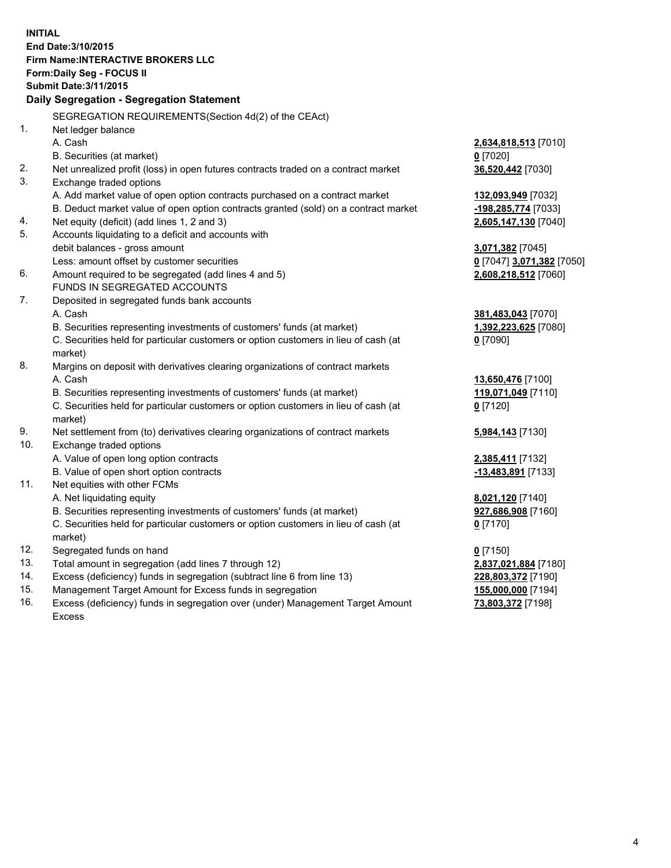**INITIAL End Date:3/10/2015 Firm Name:INTERACTIVE BROKERS LLC Form:Daily Seg - FOCUS II Submit Date:3/11/2015 Daily Segregation - Segregation Statement** SEGREGATION REQUIREMENTS(Section 4d(2) of the CEAct) 1. Net ledger balance A. Cash **2,634,818,513** [7010] B. Securities (at market) **0** [7020] 2. Net unrealized profit (loss) in open futures contracts traded on a contract market **36,520,442** [7030] 3. Exchange traded options A. Add market value of open option contracts purchased on a contract market **132,093,949** [7032] B. Deduct market value of open option contracts granted (sold) on a contract market **-198,285,774** [7033] 4. Net equity (deficit) (add lines 1, 2 and 3) **2,605,147,130** [7040] 5. Accounts liquidating to a deficit and accounts with debit balances - gross amount **3,071,382** [7045] Less: amount offset by customer securities **0** [7047] **3,071,382** [7050] 6. Amount required to be segregated (add lines 4 and 5) **2,608,218,512** [7060] FUNDS IN SEGREGATED ACCOUNTS 7. Deposited in segregated funds bank accounts A. Cash **381,483,043** [7070] B. Securities representing investments of customers' funds (at market) **1,392,223,625** [7080] C. Securities held for particular customers or option customers in lieu of cash (at market) **0** [7090] 8. Margins on deposit with derivatives clearing organizations of contract markets A. Cash **13,650,476** [7100] B. Securities representing investments of customers' funds (at market) **119,071,049** [7110] C. Securities held for particular customers or option customers in lieu of cash (at market) **0** [7120] 9. Net settlement from (to) derivatives clearing organizations of contract markets **5,984,143** [7130] 10. Exchange traded options A. Value of open long option contracts **2,385,411** [7132] B. Value of open short option contracts **-13,483,891** [7133] 11. Net equities with other FCMs A. Net liquidating equity **8,021,120** [7140] B. Securities representing investments of customers' funds (at market) **927,686,908** [7160] C. Securities held for particular customers or option customers in lieu of cash (at market) **0** [7170] 12. Segregated funds on hand **0** [7150] 13. Total amount in segregation (add lines 7 through 12) **2,837,021,884** [7180] 14. Excess (deficiency) funds in segregation (subtract line 6 from line 13) **228,803,372** [7190] 15. Management Target Amount for Excess funds in segregation **155,000,000** [7194]

16. Excess (deficiency) funds in segregation over (under) Management Target Amount Excess

**73,803,372** [7198]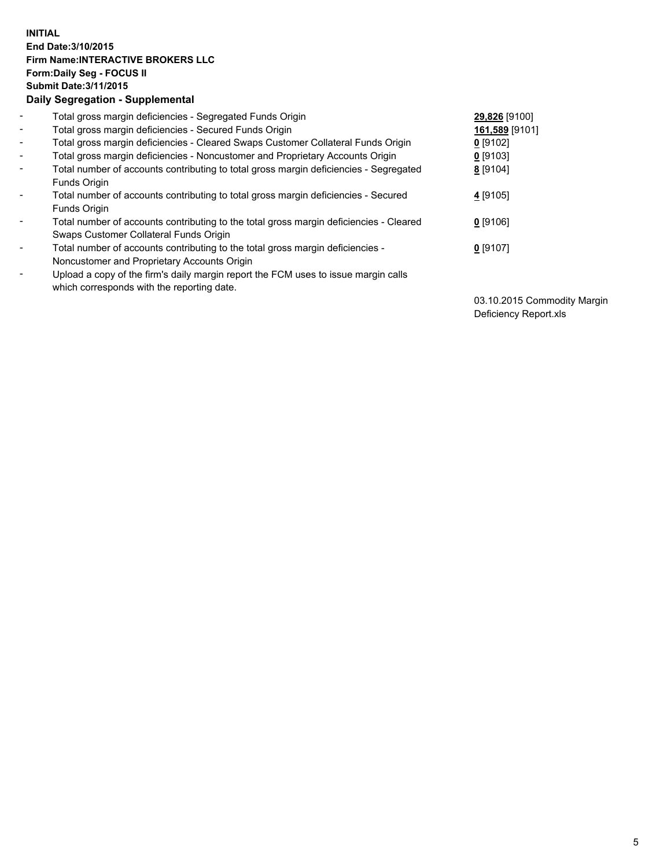## **INITIAL End Date:3/10/2015 Firm Name:INTERACTIVE BROKERS LLC Form:Daily Seg - FOCUS II Submit Date:3/11/2015 Daily Segregation - Supplemental**

| $\blacksquare$           | Total gross margin deficiencies - Segregated Funds Origin                              | 29,826 [9100]  |
|--------------------------|----------------------------------------------------------------------------------------|----------------|
| $\sim$                   | Total gross margin deficiencies - Secured Funds Origin                                 | 161,589 [9101] |
| $\blacksquare$           | Total gross margin deficiencies - Cleared Swaps Customer Collateral Funds Origin       | $0$ [9102]     |
| $\blacksquare$           | Total gross margin deficiencies - Noncustomer and Proprietary Accounts Origin          | $0$ [9103]     |
| $\blacksquare$           | Total number of accounts contributing to total gross margin deficiencies - Segregated  | 8 [9104]       |
|                          | Funds Origin                                                                           |                |
| $\blacksquare$           | Total number of accounts contributing to total gross margin deficiencies - Secured     | 4 [9105]       |
|                          | <b>Funds Origin</b>                                                                    |                |
| $\blacksquare$           | Total number of accounts contributing to the total gross margin deficiencies - Cleared | $0$ [9106]     |
|                          | Swaps Customer Collateral Funds Origin                                                 |                |
| $\overline{\phantom{a}}$ | Total number of accounts contributing to the total gross margin deficiencies -         | $0$ [9107]     |
|                          | Noncustomer and Proprietary Accounts Origin                                            |                |
| $\blacksquare$           | Upload a copy of the firm's daily margin report the FCM uses to issue margin calls     |                |
|                          | which corresponds with the reporting date.                                             |                |

03.10.2015 Commodity Margin Deficiency Report.xls